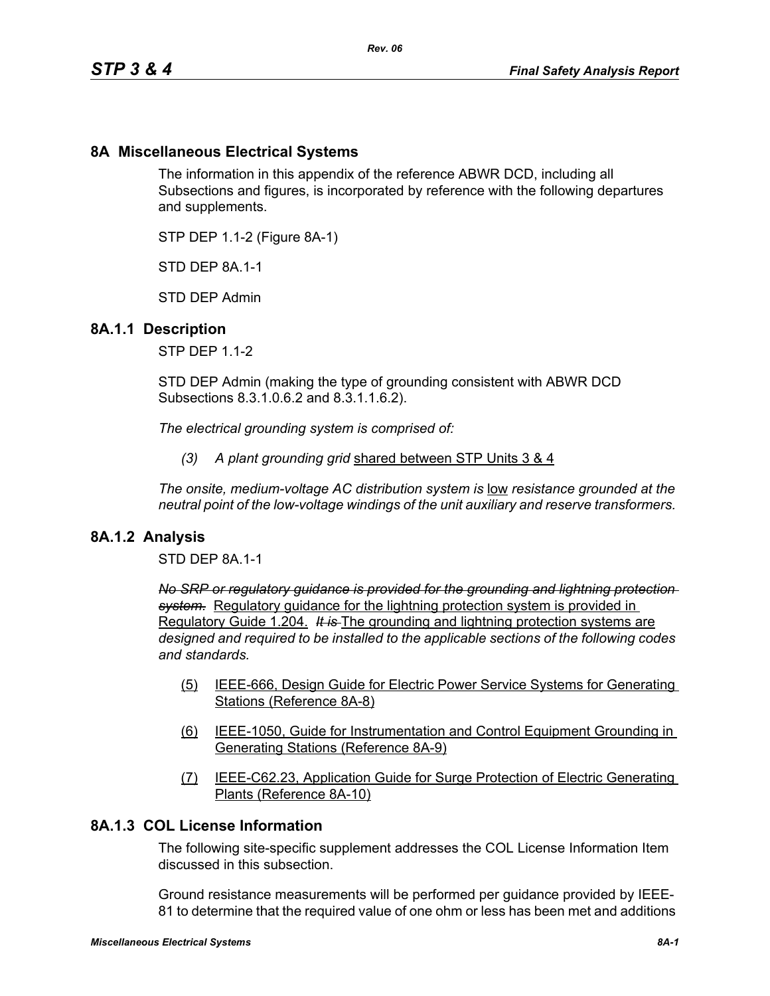# **8A Miscellaneous Electrical Systems**

The information in this appendix of the reference ABWR DCD, including all Subsections and figures, is incorporated by reference with the following departures and supplements.

STP DEP 1.1-2 (Figure 8A-1)

STD DFP 8A 1-1

STD DEP Admin

### **8A.1.1 Description**

STP DEP 1.1-2

STD DEP Admin (making the type of grounding consistent with ABWR DCD Subsections 8.3.1.0.6.2 and 8.3.1.1.6.2).

*The electrical grounding system is comprised of:*

*(3) A plant grounding grid* shared between STP Units 3 & 4

*The onsite, medium-voltage AC distribution system is* low *resistance grounded at the neutral point of the low-voltage windings of the unit auxiliary and reserve transformers.* 

### **8A.1.2 Analysis**

STD DEP 8A.1-1

*No SRP or regulatory guidance is provided for the grounding and lightning protection system.* Regulatory guidance for the lightning protection system is provided in Regulatory Guide 1.204. *It is* The grounding and lightning protection systems are *designed and required to be installed to the applicable sections of the following codes and standards.*

- (5) IEEE-666, Design Guide for Electric Power Service Systems for Generating Stations (Reference 8A-8)
- (6) IEEE-1050, Guide for Instrumentation and Control Equipment Grounding in Generating Stations (Reference 8A-9)
- (7) IEEE-C62.23, Application Guide for Surge Protection of Electric Generating Plants (Reference 8A-10)

# **8A.1.3 COL License Information**

The following site-specific supplement addresses the COL License Information Item discussed in this subsection.

Ground resistance measurements will be performed per guidance provided by IEEE-81 to determine that the required value of one ohm or less has been met and additions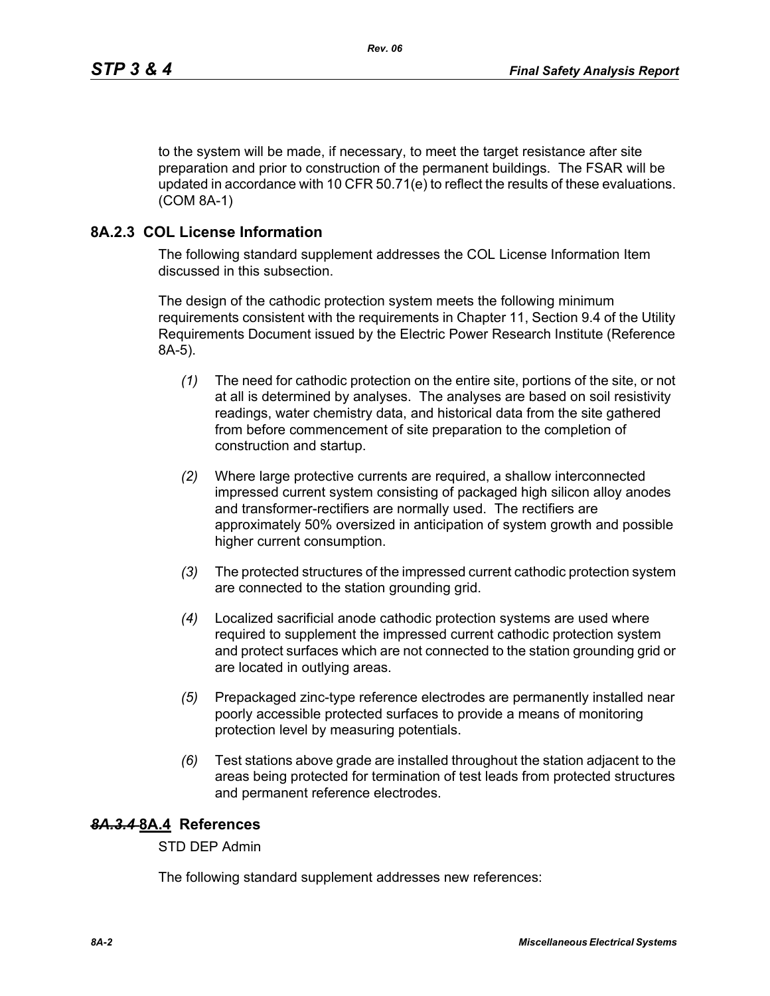to the system will be made, if necessary, to meet the target resistance after site preparation and prior to construction of the permanent buildings. The FSAR will be updated in accordance with 10 CFR 50.71(e) to reflect the results of these evaluations. (COM 8A-1)

# **8A.2.3 COL License Information**

The following standard supplement addresses the COL License Information Item discussed in this subsection.

The design of the cathodic protection system meets the following minimum requirements consistent with the requirements in Chapter 11, Section 9.4 of the Utility Requirements Document issued by the Electric Power Research Institute (Reference 8A-5).

- *(1)* The need for cathodic protection on the entire site, portions of the site, or not at all is determined by analyses. The analyses are based on soil resistivity readings, water chemistry data, and historical data from the site gathered from before commencement of site preparation to the completion of construction and startup.
- *(2)* Where large protective currents are required, a shallow interconnected impressed current system consisting of packaged high silicon alloy anodes and transformer-rectifiers are normally used. The rectifiers are approximately 50% oversized in anticipation of system growth and possible higher current consumption.
- *(3)* The protected structures of the impressed current cathodic protection system are connected to the station grounding grid.
- *(4)* Localized sacrificial anode cathodic protection systems are used where required to supplement the impressed current cathodic protection system and protect surfaces which are not connected to the station grounding grid or are located in outlying areas.
- *(5)* Prepackaged zinc-type reference electrodes are permanently installed near poorly accessible protected surfaces to provide a means of monitoring protection level by measuring potentials.
- *(6)* Test stations above grade are installed throughout the station adjacent to the areas being protected for termination of test leads from protected structures and permanent reference electrodes.

# *8A.3.4* **8A.4 References**

STD DEP Admin

The following standard supplement addresses new references: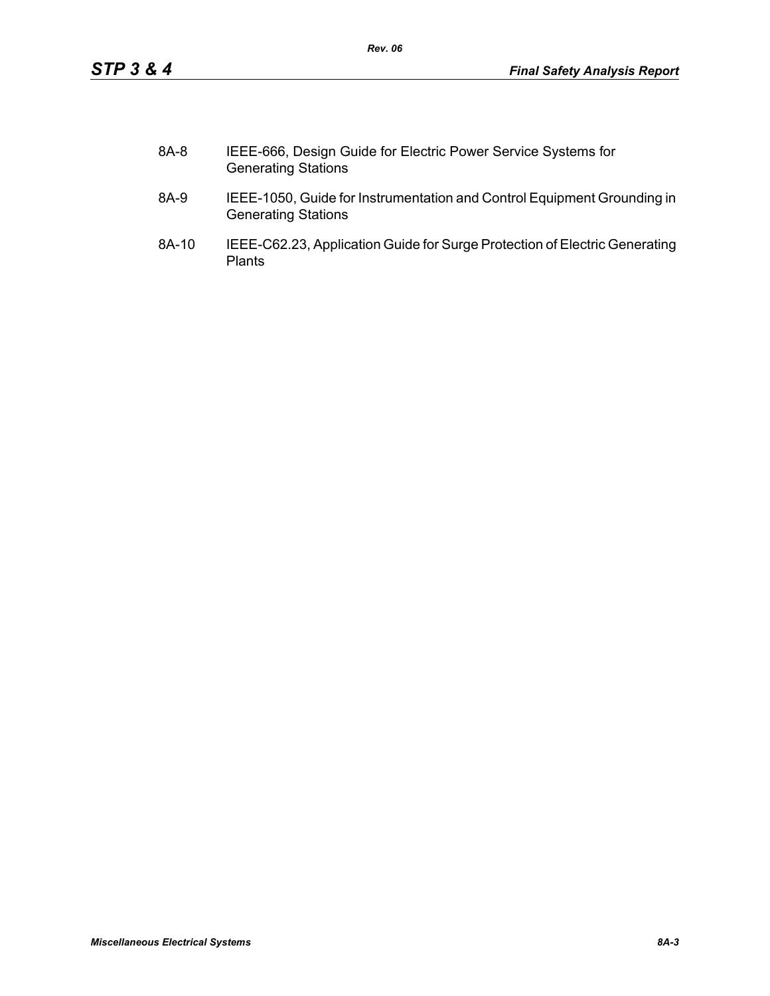| 8A-8 | IEEE-666, Design Guide for Electric Power Service Systems for |
|------|---------------------------------------------------------------|
|      | <b>Generating Stations</b>                                    |

*Rev. 06*

- 8A-9 IEEE-1050, Guide for Instrumentation and Control Equipment Grounding in Generating Stations
- 8A-10 IEEE-C62.23, Application Guide for Surge Protection of Electric Generating Plants